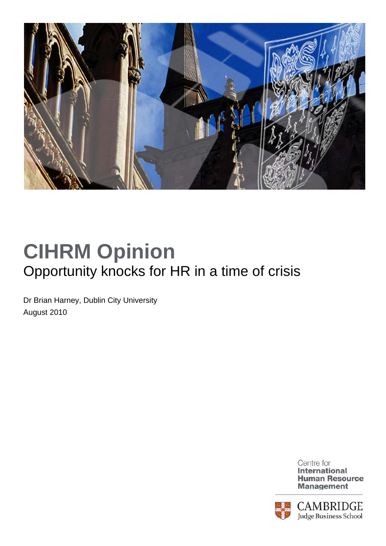

## **CIHRM Opinion**  Opportunity knocks for HR in a time of crisis

Dr Brian Harney, Dublin City University August 2010

> Centre for **International Human Resource Management**